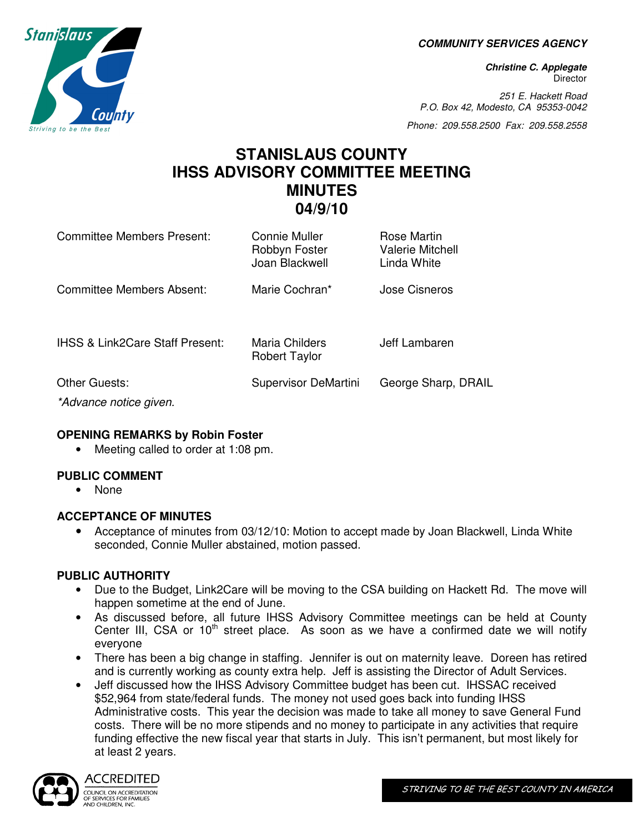**COMMUNITY SERVICES AGENCY** 

**Christine C. Applegate Director** 

251 E. Hackett Road P.O. Box 42, Modesto, CA 95353-0042

Phone: 209.558.2500 Fax: 209.558.2558

# **STANISLAUS COUNTY IHSS ADVISORY COMMITTEE MEETING MINUTES 04/9/10**

| <b>Committee Members Present:</b>          | Connie Muller<br>Robbyn Foster<br>Joan Blackwell | Rose Martin<br><b>Valerie Mitchell</b><br>Linda White |
|--------------------------------------------|--------------------------------------------------|-------------------------------------------------------|
| Committee Members Absent:                  | Marie Cochran*                                   | Jose Cisneros                                         |
| <b>IHSS &amp; Link2Care Staff Present:</b> | Maria Childers<br><b>Robert Taylor</b>           | Jeff Lambaren                                         |
| Other Guests:                              | Supervisor DeMartini                             | George Sharp, DRAIL                                   |
| *Advance notice given.                     |                                                  |                                                       |

#### **OPENING REMARKS by Robin Foster**

• Meeting called to order at 1:08 pm.

## **PUBLIC COMMENT**

• None

## **ACCEPTANCE OF MINUTES**

• Acceptance of minutes from 03/12/10: Motion to accept made by Joan Blackwell, Linda White seconded, Connie Muller abstained, motion passed.

## **PUBLIC AUTHORITY**

- Due to the Budget, Link2Care will be moving to the CSA building on Hackett Rd. The move will happen sometime at the end of June.
- As discussed before, all future IHSS Advisory Committee meetings can be held at County Center III, CSA or  $10<sup>th</sup>$  street place. As soon as we have a confirmed date we will notify everyone
- There has been a big change in staffing. Jennifer is out on maternity leave. Doreen has retired and is currently working as county extra help. Jeff is assisting the Director of Adult Services.
- Jeff discussed how the IHSS Advisory Committee budget has been cut. IHSSAC received \$52,964 from state/federal funds. The money not used goes back into funding IHSS Administrative costs. This year the decision was made to take all money to save General Fund costs. There will be no more stipends and no money to participate in any activities that require funding effective the new fiscal year that starts in July. This isn't permanent, but most likely for at least 2 years.



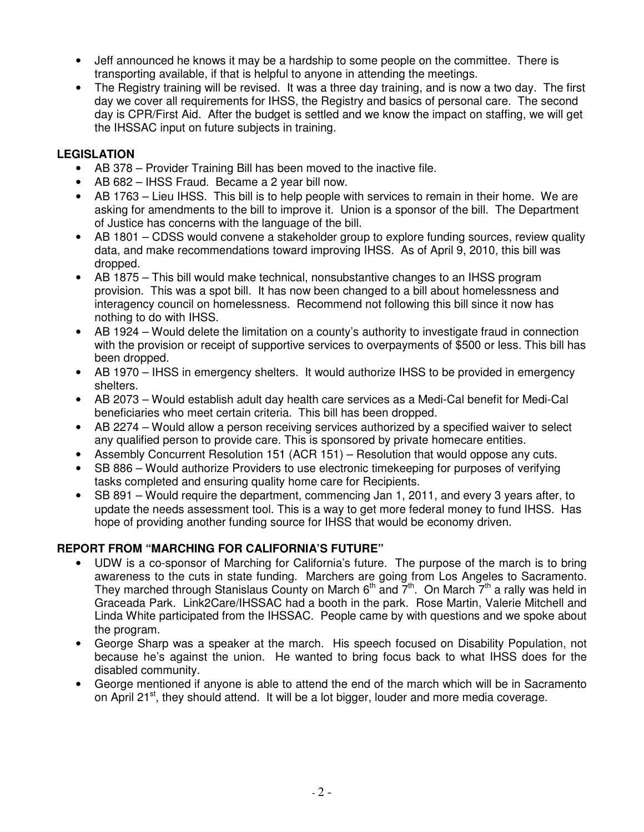- Jeff announced he knows it may be a hardship to some people on the committee. There is transporting available, if that is helpful to anyone in attending the meetings.
- The Registry training will be revised. It was a three day training, and is now a two day. The first day we cover all requirements for IHSS, the Registry and basics of personal care. The second day is CPR/First Aid. After the budget is settled and we know the impact on staffing, we will get the IHSSAC input on future subjects in training.

## **LEGISLATION**

- AB 378 Provider Training Bill has been moved to the inactive file.
- AB 682 IHSS Fraud. Became a 2 year bill now.
- AB 1763 Lieu IHSS. This bill is to help people with services to remain in their home. We are asking for amendments to the bill to improve it. Union is a sponsor of the bill. The Department of Justice has concerns with the language of the bill.
- AB 1801 CDSS would convene a stakeholder group to explore funding sources, review quality data, and make recommendations toward improving IHSS. As of April 9, 2010, this bill was dropped.
- AB 1875 This bill would make technical, nonsubstantive changes to an IHSS program provision. This was a spot bill. It has now been changed to a bill about homelessness and interagency council on homelessness. Recommend not following this bill since it now has nothing to do with IHSS.
- AB 1924 Would delete the limitation on a county's authority to investigate fraud in connection with the provision or receipt of supportive services to overpayments of \$500 or less. This bill has been dropped.
- AB 1970 IHSS in emergency shelters. It would authorize IHSS to be provided in emergency shelters.
- AB 2073 Would establish adult day health care services as a Medi-Cal benefit for Medi-Cal beneficiaries who meet certain criteria. This bill has been dropped.
- AB 2274 Would allow a person receiving services authorized by a specified waiver to select any qualified person to provide care. This is sponsored by private homecare entities.
- Assembly Concurrent Resolution 151 (ACR 151) Resolution that would oppose any cuts.
- SB 886 Would authorize Providers to use electronic timekeeping for purposes of verifying tasks completed and ensuring quality home care for Recipients.
- SB 891 Would require the department, commencing Jan 1, 2011, and every 3 years after, to update the needs assessment tool. This is a way to get more federal money to fund IHSS. Has hope of providing another funding source for IHSS that would be economy driven.

## **REPORT FROM "MARCHING FOR CALIFORNIA'S FUTURE"**

- UDW is a co-sponsor of Marching for California's future. The purpose of the march is to bring awareness to the cuts in state funding. Marchers are going from Los Angeles to Sacramento. They marched through Stanislaus County on March  $6<sup>th</sup>$  and  $7<sup>th</sup>$ . On March  $7<sup>th</sup>$  a rally was held in Graceada Park. Link2Care/IHSSAC had a booth in the park. Rose Martin, Valerie Mitchell and Linda White participated from the IHSSAC. People came by with questions and we spoke about the program.
- George Sharp was a speaker at the march. His speech focused on Disability Population, not because he's against the union. He wanted to bring focus back to what IHSS does for the disabled community.
- George mentioned if anyone is able to attend the end of the march which will be in Sacramento on April 21 $\mathrm{st}$ , they should attend. It will be a lot bigger, louder and more media coverage.